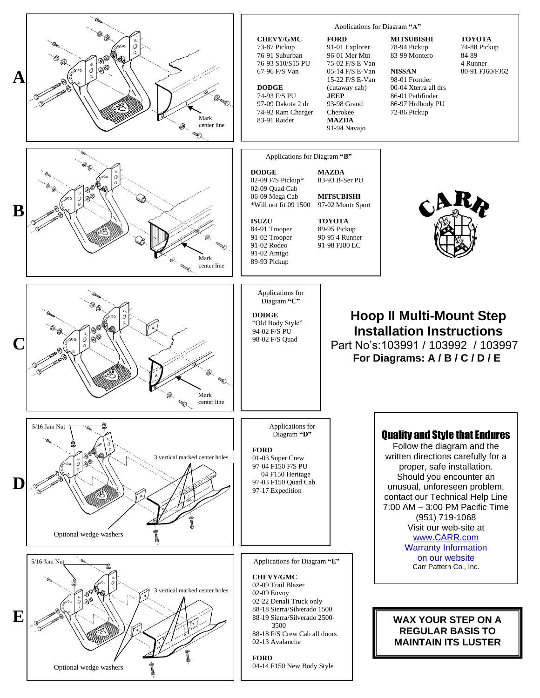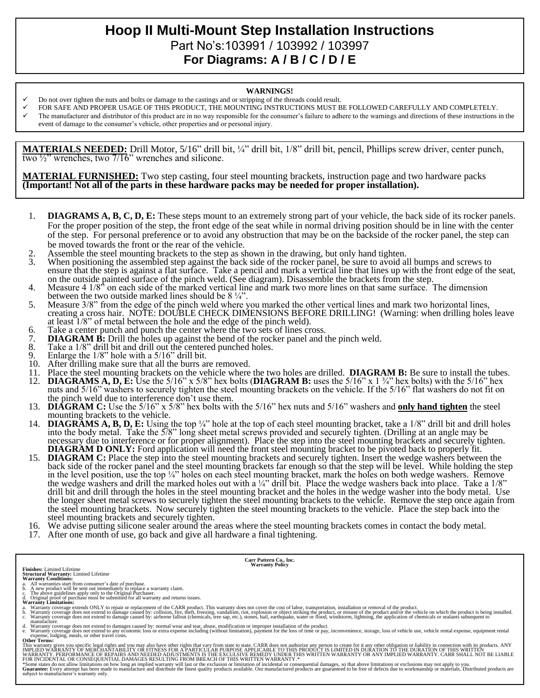# **Hoop II Multi-Mount Step Installation Instructions**  Part No's:103991 / 103992 / 103997 **For Diagrams: A / B / C / D / E**

#### **WARNINGS!**

- Do not over tighten the nuts and bolts or damage to the castings and or stripping of the threads could result.
- FOR SAFE AND PROPER USAGE OF THIS PRODUCT, THE MOUNTING INSTRUCTIONS MUST BE FOLLOWED CAREFULLY AND COMPLETELY.
- The manufacturer and distributor of this product are in no way responsible for the consumer's failure to adhere to the warnings and directions of these instructions in the event of damage to the consumer's vehicle, other properties and or personal injury.

**MATERIALS NEEDED:** Drill Motor, 5/16" drill bit, ¼" drill bit, 1/8" drill bit, pencil, Phillips screw driver, center punch, two  $\frac{1}{2}$ " wrenches, two  $\frac{7}{16}$ " wrenches and silicone.

**MATERIAL FURNISHED:** Two step casting, four steel mounting brackets, instruction page and two hardware packs **(Important! Not all of the parts in these hardware packs may be needed for proper installation).**

- 1. **DIAGRAMS A, B, C, D, E:** These steps mount to an extremely strong part of your vehicle, the back side of its rocker panels. For the proper position of the step, the front edge of the seat while in normal driving position should be in line with the center of the step. For personal preference or to avoid any obstruction that may be on the backside of the rocker panel, the step can be moved towards the front or the rear of the vehicle.
- 2. Assemble the steel mounting brackets to the step as shown in the drawing, but only hand tighten.<br>3. When positioning the assembled step against the back side of the rocker panel, be sure to avoid a
- When positioning the assembled step against the back side of the rocker panel, be sure to avoid all bumps and screws to ensure that the step is against a flat surface. Take a pencil and mark a vertical line that lines up with the front edge of the seat, on the outside painted surface of the pinch weld. (See diagram). Disassemble the brackets from the step.
- 4. Measure 4 1/8" on each side of the marked vertical line and mark two more lines on that same surface. The dimension between the two outside marked lines should be 8 ¼".
- 5. Measure 3/8" from the edge of the pinch weld where you marked the other vertical lines and mark two horizontal lines, creating a cross hair. NOTE: DOUBLE CHECK DIMENSIONS BEFORE DRILLING! (Warning: when drilling holes leave at least 1/8" of metal between the hole and the edge of the pinch weld).
- 6. Take a center punch and punch the center where the two sets of lines cross.<br> **DIAGRAM B:** Drill the holes up against the bend of the rocker panel and t
- 7. **DIAGRAM B:** Drill the holes up against the bend of the rocker panel and the pinch weld.<br>8. Take a 1/8" drill bit and drill out the centered punched holes.
- Take a 1/8" drill bit and drill out the centered punched holes.
- 9. Enlarge the  $1/8$ " hole with a  $5/16$ " drill bit.<br>10. After drilling make sure that all the burrs and
- 
- 10. After drilling make sure that all the burrs are removed.<br>11. Place the steel mounting brackets on the vehicle where 11. Place the steel mounting brackets on the vehicle where the two holes are drilled. **DIAGRAM B:** Be sure to install the tubes.
- 12. **DIAGRAMS A, D, E:** Use the 5/16" x 5/8" hex bolts (**DIAGRAM B:** uses the 5/16" x 1 ¾" hex bolts) with the 5/16" hex nuts and 5/16" washers to securely tighten the steel mounting brackets on the vehicle. If the 5/16" flat washers do not fit on the pinch weld due to interference don't use them.
- 13. **DIAGRAM C:** Use the 5/16" x 5/8" hex bolts with the 5/16" hex nuts and 5/16" washers and **only hand tighten** the steel mounting brackets to the vehicle.
- 14. **DIAGRAMS A, B, D, E:** Using the top ¼" hole at the top of each steel mounting bracket, take a 1/8" drill bit and drill holes into the body metal. Take the 5/8" long sheet metal screws provided and securely tighten. (Drilling at an angle may be necessary due to interference or for proper alignment). Place the step into the steel mounting brackets and securely tighten. **DIAGRAM D ONLY:** Ford application will need the front steel mounting bracket to be pivoted back to properly fit.
- 15. **DIAGRAM C:** Place the step into the steel mounting brackets and securely tighten. Insert the wedge washers between the back side of the rocker panel and the steel mounting brackets far enough so that the step will be level. While holding the step in the level position, use the top ¼" holes on each steel mounting bracket, mark the holes on both wedge washers. Remove the wedge washers and drill the marked holes out with a  $\frac{1}{4}$  drill bit. Place the wedge washers back into place. Take a  $\frac{1}{8}$ drill bit and drill through the holes in the steel mounting bracket and the holes in the wedge washer into the body metal. Use the longer sheet metal screws to securely tighten the steel mounting brackets to the vehicle. Remove the step once again from the steel mounting brackets. Now securely tighten the steel mounting brackets to the vehicle. Place the step back into the steel mounting brackets and securely tighten.
- 16. We advise putting silicone sealer around the areas where the steel mounting brackets comes in contact the body metal.
- 17. After one month of use, go back and give all hardware a final tightening.

**Carr Pattern Co., Inc. Warranty Policy**

- 
- 
- 
- **Finishes:** Limited Lifetime<br>**Structural Warranty:** Limited Lifetime<br>**Warranty Conditions:**<br>**Warranty Conditions:**<br>b. A new product will be sent out immediately to replace a warranty claim.<br>b. A new product will be sent ou
- a. Warranty coverage extends ONLY to repair or replacement of the CARR product. This warranty does not cover the cost of labor, transportation, installation or removal of the product.<br>b. Warranty coverage does not extend t manufacture.
- d. Warranty coverage does not extend to damages caused by: normal wear and tear, abuse, modification or improper installation of the product.<br>e. Warranty coverage does not extend to any economic loss or extra expense inclu

**Other Terms:**

This warranty gives you specific legal rights and you may also have other rights that vary from state to state. CARR does not authorize any person to create for it any other obligation or liability in connection with its p

\*Some states do not allow limitations on how long an implied warranty will last or the exclusion or limitation of incidental or consequential damages, so that above limitations or exclusions may not apply to you.<br>Guarantee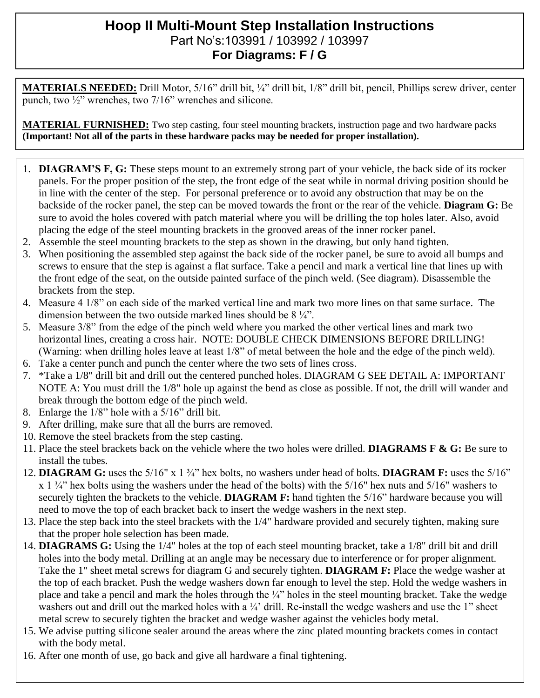## **Hoop II Multi-Mount Step Installation Instructions**  Part No's:103991 / 103992 / 103997 **For Diagrams: F / G**

**MATERIALS NEEDED:** Drill Motor, 5/16" drill bit, ¼" drill bit, 1/8" drill bit, pencil, Phillips screw driver, center punch, two ½" wrenches, two 7/16" wrenches and silicone.

**MATERIAL FURNISHED:** Two step casting, four steel mounting brackets, instruction page and two hardware packs **(Important! Not all of the parts in these hardware packs may be needed for proper installation).**

- 1. **DIAGRAM'S F, G:** These steps mount to an extremely strong part of your vehicle, the back side of its rocker panels. For the proper position of the step, the front edge of the seat while in normal driving position should be in line with the center of the step. For personal preference or to avoid any obstruction that may be on the backside of the rocker panel, the step can be moved towards the front or the rear of the vehicle. **Diagram G:** Be sure to avoid the holes covered with patch material where you will be drilling the top holes later. Also, avoid placing the edge of the steel mounting brackets in the grooved areas of the inner rocker panel.
- 2. Assemble the steel mounting brackets to the step as shown in the drawing, but only hand tighten.
- 3. When positioning the assembled step against the back side of the rocker panel, be sure to avoid all bumps and screws to ensure that the step is against a flat surface. Take a pencil and mark a vertical line that lines up with the front edge of the seat, on the outside painted surface of the pinch weld. (See diagram). Disassemble the brackets from the step.
- 4. Measure 4 1/8" on each side of the marked vertical line and mark two more lines on that same surface. The dimension between the two outside marked lines should be 8 ¼".
- 5. Measure 3/8" from the edge of the pinch weld where you marked the other vertical lines and mark two horizontal lines, creating a cross hair. NOTE: DOUBLE CHECK DIMENSIONS BEFORE DRILLING! (Warning: when drilling holes leave at least 1/8" of metal between the hole and the edge of the pinch weld).
- 6. Take a center punch and punch the center where the two sets of lines cross.
- 7. \*Take a 1/8" drill bit and drill out the centered punched holes. DIAGRAM G SEE DETAIL A: IMPORTANT NOTE A: You must drill the 1/8" hole up against the bend as close as possible. If not, the drill will wander and break through the bottom edge of the pinch weld.
- 8. Enlarge the 1/8" hole with a 5/16" drill bit.
- 9. After drilling, make sure that all the burrs are removed.
- 10. Remove the steel brackets from the step casting.
- 11. Place the steel brackets back on the vehicle where the two holes were drilled. **DIAGRAMS F & G:** Be sure to install the tubes.
- 12. **DIAGRAM G:** uses the 5/16" x 1 ¾" hex bolts, no washers under head of bolts. **DIAGRAM F:** uses the 5/16"  $x_1 \frac{3}{4}$  hex bolts using the washers under the head of the bolts) with the 5/16" hex nuts and 5/16" washers to securely tighten the brackets to the vehicle. **DIAGRAM F:** hand tighten the 5/16" hardware because you will need to move the top of each bracket back to insert the wedge washers in the next step.
- 13. Place the step back into the steel brackets with the 1/4" hardware provided and securely tighten, making sure that the proper hole selection has been made.
- 14. **DIAGRAMS G:** Using the 1/4" holes at the top of each steel mounting bracket, take a 1/8" drill bit and drill holes into the body metal. Drilling at an angle may be necessary due to interference or for proper alignment. Take the 1" sheet metal screws for diagram G and securely tighten. **DIAGRAM F:** Place the wedge washer at the top of each bracket. Push the wedge washers down far enough to level the step. Hold the wedge washers in place and take a pencil and mark the holes through the ¼" holes in the steel mounting bracket. Take the wedge washers out and drill out the marked holes with a <sup>1</sup>/<sub>4</sub>' drill. Re-install the wedge washers and use the 1" sheet metal screw to securely tighten the bracket and wedge washer against the vehicles body metal.
- 15. We advise putting silicone sealer around the areas where the zinc plated mounting brackets comes in contact with the body metal.
- 16. After one month of use, go back and give all hardware a final tightening.